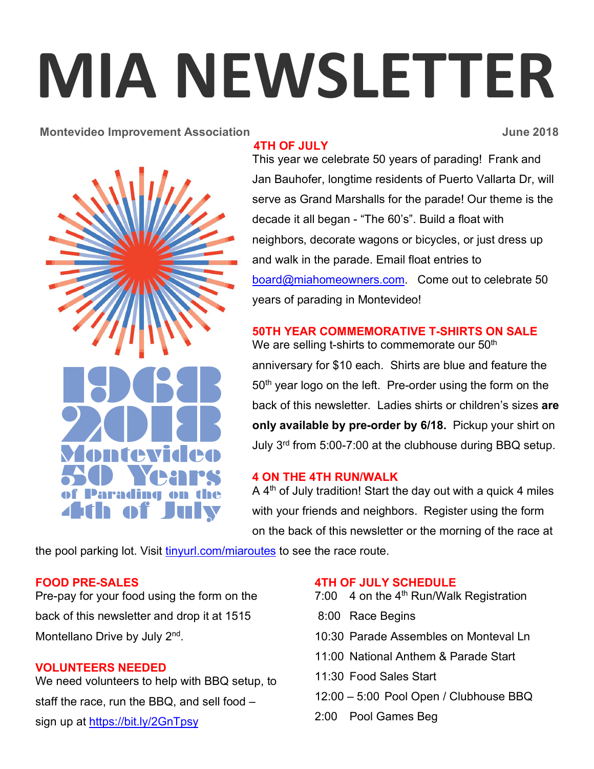# **MIA NEWSLETTER**

#### **Montevideo Improvement Association Contract 2018 June 2018**



#### **4TH OF JULY**

This year we celebrate 50 years of parading! Frank and Jan Bauhofer, longtime residents of Puerto Vallarta Dr, will serve as Grand Marshalls for the parade! Our theme is the decade it all began - "The 60's". Build a float with neighbors, decorate wagons or bicycles, or just dress up and walk in the parade. Email float entries to board@miahomeowners.com. Come out to celebrate 50 years of parading in Montevideo!

# **50TH YEAR COMMEMORATIVE T-SHIRTS ON SALE**

We are selling t-shirts to commemorate our 50<sup>th</sup> anniversary for \$10 each. Shirts are blue and feature the 50<sup>th</sup> year logo on the left. Pre-order using the form on the back of this newsletter. Ladies shirts or children's sizes **are only available by pre-order by 6/18.** Pickup your shirt on July 3rd from 5:00-7:00 at the clubhouse during BBQ setup.

## **4 ON THE 4TH RUN/WALK**

A 4<sup>th</sup> of July tradition! Start the day out with a quick 4 miles with your friends and neighbors. Register using the form on the back of this newsletter or the morning of the race at

the pool parking lot. Visit tinyurl.com/miaroutes to see the race route.

## **FOOD PRE-SALES**

Pre-pay for your food using the form on the back of this newsletter and drop it at 1515 Montellano Drive by July 2<sup>nd</sup>.

#### **VOLUNTEERS NEEDED**

We need volunteers to help with BBQ setup, to staff the race, run the BBQ, and sell food – sign up at https://bit.ly/2GnTpsy

## **4TH OF JULY SCHEDULE**

- 7:00  $\,$  4 on the 4<sup>th</sup> Run/Walk Registration
- 8:00 Race Begins
- 10:30 Parade Assembles on Monteval Ln
- 11:00 National Anthem & Parade Start
- 11:30 Food Sales Start
- 12:00 5:00 Pool Open / Clubhouse BBQ
- 2:00 Pool Games Beg